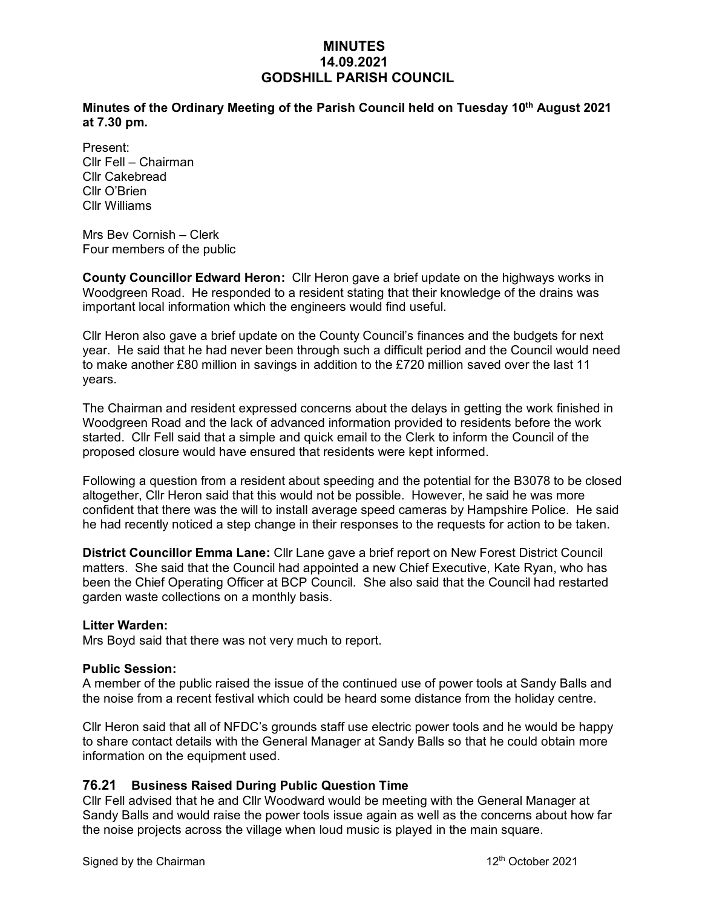## **MINUTES 14.09.2021 GODSHILL PARISH COUNCIL**

**Minutes of the Ordinary Meeting of the Parish Council held on Tuesday 10th August 2021 at 7.30 pm.** 

Present: Cllr Fell – Chairman Cllr Cakebread Cllr O'Brien Cllr Williams

Mrs Bev Cornish – Clerk Four members of the public

**County Councillor Edward Heron:** Cllr Heron gave a brief update on the highways works in Woodgreen Road. He responded to a resident stating that their knowledge of the drains was important local information which the engineers would find useful.

Cllr Heron also gave a brief update on the County Council's finances and the budgets for next year. He said that he had never been through such a difficult period and the Council would need to make another £80 million in savings in addition to the £720 million saved over the last 11 years.

The Chairman and resident expressed concerns about the delays in getting the work finished in Woodgreen Road and the lack of advanced information provided to residents before the work started. Cllr Fell said that a simple and quick email to the Clerk to inform the Council of the proposed closure would have ensured that residents were kept informed.

Following a question from a resident about speeding and the potential for the B3078 to be closed altogether, Cllr Heron said that this would not be possible. However, he said he was more confident that there was the will to install average speed cameras by Hampshire Police. He said he had recently noticed a step change in their responses to the requests for action to be taken.

**District Councillor Emma Lane:** Cllr Lane gave a brief report on New Forest District Council matters. She said that the Council had appointed a new Chief Executive, Kate Ryan, who has been the Chief Operating Officer at BCP Council. She also said that the Council had restarted garden waste collections on a monthly basis.

#### **Litter Warden:**

Mrs Boyd said that there was not very much to report.

#### **Public Session:**

A member of the public raised the issue of the continued use of power tools at Sandy Balls and the noise from a recent festival which could be heard some distance from the holiday centre.

Cllr Heron said that all of NFDC's grounds staff use electric power tools and he would be happy to share contact details with the General Manager at Sandy Balls so that he could obtain more information on the equipment used.

### **76.21 Business Raised During Public Question Time**

Cllr Fell advised that he and Cllr Woodward would be meeting with the General Manager at Sandy Balls and would raise the power tools issue again as well as the concerns about how far the noise projects across the village when loud music is played in the main square.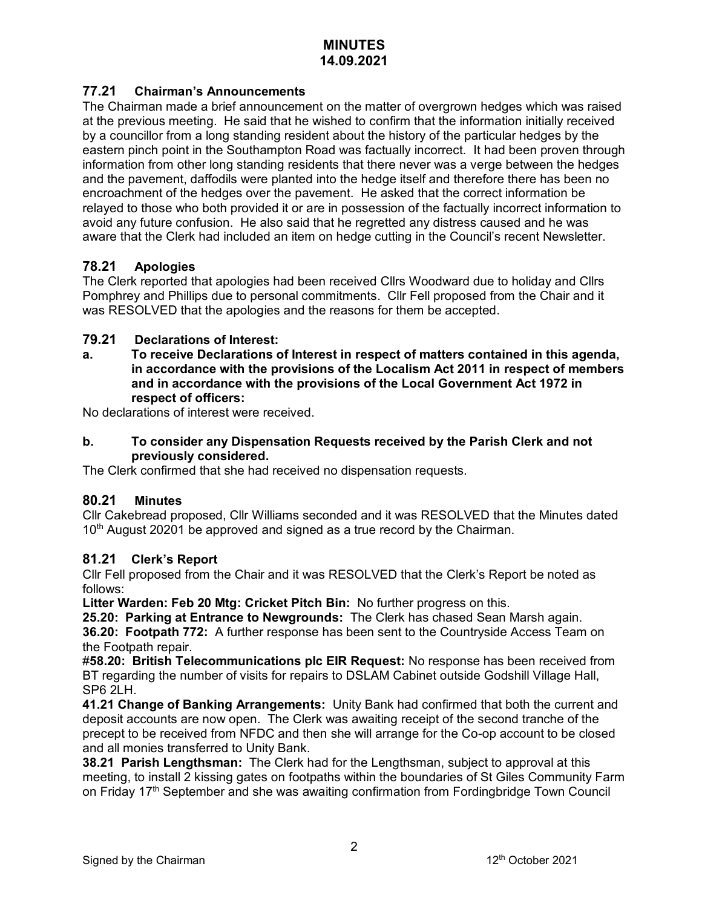## **77.21 Chairman's Announcements**

The Chairman made a brief announcement on the matter of overgrown hedges which was raised at the previous meeting. He said that he wished to confirm that the information initially received by a councillor from a long standing resident about the history of the particular hedges by the eastern pinch point in the Southampton Road was factually incorrect. It had been proven through information from other long standing residents that there never was a verge between the hedges and the pavement, daffodils were planted into the hedge itself and therefore there has been no encroachment of the hedges over the pavement. He asked that the correct information be relayed to those who both provided it or are in possession of the factually incorrect information to avoid any future confusion. He also said that he regretted any distress caused and he was aware that the Clerk had included an item on hedge cutting in the Council's recent Newsletter.

## **78.21 Apologies**

The Clerk reported that apologies had been received Cllrs Woodward due to holiday and Cllrs Pomphrey and Phillips due to personal commitments. Cllr Fell proposed from the Chair and it was RESOLVED that the apologies and the reasons for them be accepted.

## **79.21 Declarations of Interest:**

**a. To receive Declarations of Interest in respect of matters contained in this agenda, in accordance with the provisions of the Localism Act 2011 in respect of members and in accordance with the provisions of the Local Government Act 1972 in respect of officers:**

No declarations of interest were received.

### **b. To consider any Dispensation Requests received by the Parish Clerk and not previously considered.**

The Clerk confirmed that she had received no dispensation requests.

### **80.21 Minutes**

Cllr Cakebread proposed, Cllr Williams seconded and it was RESOLVED that the Minutes dated 10th August 20201 be approved and signed as a true record by the Chairman.

## **81.21 Clerk's Report**

Cllr Fell proposed from the Chair and it was RESOLVED that the Clerk's Report be noted as follows:

**Litter Warden: Feb 20 Mtg: Cricket Pitch Bin:** No further progress on this.

**25.20: Parking at Entrance to Newgrounds:** The Clerk has chased Sean Marsh again. **36.20: Footpath 772:** A further response has been sent to the Countryside Access Team on the Footpath repair.

#**58.20: British Telecommunications plc EIR Request:** No response has been received from BT regarding the number of visits for repairs to DSLAM Cabinet outside Godshill Village Hall, SP6 2LH.

**41.21 Change of Banking Arrangements:** Unity Bank had confirmed that both the current and deposit accounts are now open. The Clerk was awaiting receipt of the second tranche of the precept to be received from NFDC and then she will arrange for the Co-op account to be closed and all monies transferred to Unity Bank.

**38.21 Parish Lengthsman:** The Clerk had for the Lengthsman, subject to approval at this meeting, to install 2 kissing gates on footpaths within the boundaries of St Giles Community Farm on Friday 17<sup>th</sup> September and she was awaiting confirmation from Fordingbridge Town Council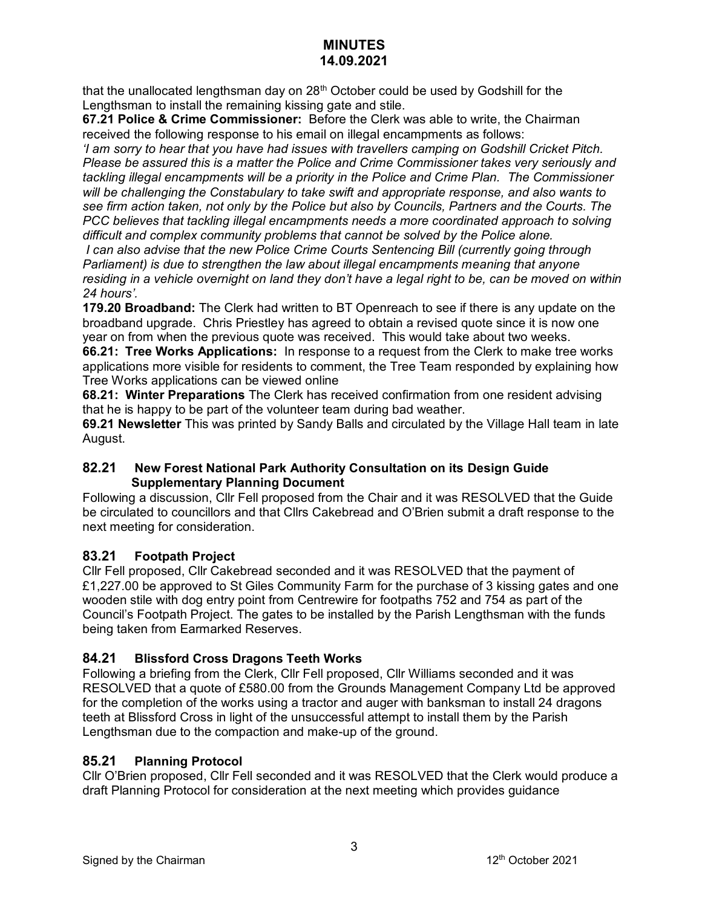that the unallocated lengthsman day on 28<sup>th</sup> October could be used by Godshill for the Lengthsman to install the remaining kissing gate and stile.

**67.21 Police & Crime Commissioner:** Before the Clerk was able to write, the Chairman received the following response to his email on illegal encampments as follows:

*'I am sorry to hear that you have had issues with travellers camping on Godshill Cricket Pitch. Please be assured this is a matter the Police and Crime Commissioner takes very seriously and tackling illegal encampments will be a priority in the Police and Crime Plan. The Commissioner will be challenging the Constabulary to take swift and appropriate response, and also wants to see firm action taken, not only by the Police but also by Councils, Partners and the Courts. The PCC believes that tackling illegal encampments needs a more coordinated approach to solving difficult and complex community problems that cannot be solved by the Police alone.* 

*I can also advise that the new Police Crime Courts Sentencing Bill (currently going through Parliament) is due to strengthen the law about illegal encampments meaning that anyone residing in a vehicle overnight on land they don't have a legal right to be, can be moved on within 24 hours'.*

**179.20 Broadband:** The Clerk had written to BT Openreach to see if there is any update on the broadband upgrade. Chris Priestley has agreed to obtain a revised quote since it is now one year on from when the previous quote was received. This would take about two weeks.

**66.21: Tree Works Applications:** In response to a request from the Clerk to make tree works applications more visible for residents to comment, the Tree Team responded by explaining how Tree Works applications can be viewed online

**68.21: Winter Preparations** The Clerk has received confirmation from one resident advising that he is happy to be part of the volunteer team during bad weather.

**69.21 Newsletter** This was printed by Sandy Balls and circulated by the Village Hall team in late August.

## **82.21 New Forest National Park Authority Consultation on its Design Guide Supplementary Planning Document**

Following a discussion, Cllr Fell proposed from the Chair and it was RESOLVED that the Guide be circulated to councillors and that Cllrs Cakebread and O'Brien submit a draft response to the next meeting for consideration.

# **83.21 Footpath Project**

Cllr Fell proposed, Cllr Cakebread seconded and it was RESOLVED that the payment of £1,227.00 be approved to St Giles Community Farm for the purchase of 3 kissing gates and one wooden stile with dog entry point from Centrewire for footpaths 752 and 754 as part of the Council's Footpath Project. The gates to be installed by the Parish Lengthsman with the funds being taken from Earmarked Reserves.

# **84.21 Blissford Cross Dragons Teeth Works**

Following a briefing from the Clerk, Cllr Fell proposed, Cllr Williams seconded and it was RESOLVED that a quote of £580.00 from the Grounds Management Company Ltd be approved for the completion of the works using a tractor and auger with banksman to install 24 dragons teeth at Blissford Cross in light of the unsuccessful attempt to install them by the Parish Lengthsman due to the compaction and make-up of the ground.

# **85.21 Planning Protocol**

Cllr O'Brien proposed, Cllr Fell seconded and it was RESOLVED that the Clerk would produce a draft Planning Protocol for consideration at the next meeting which provides guidance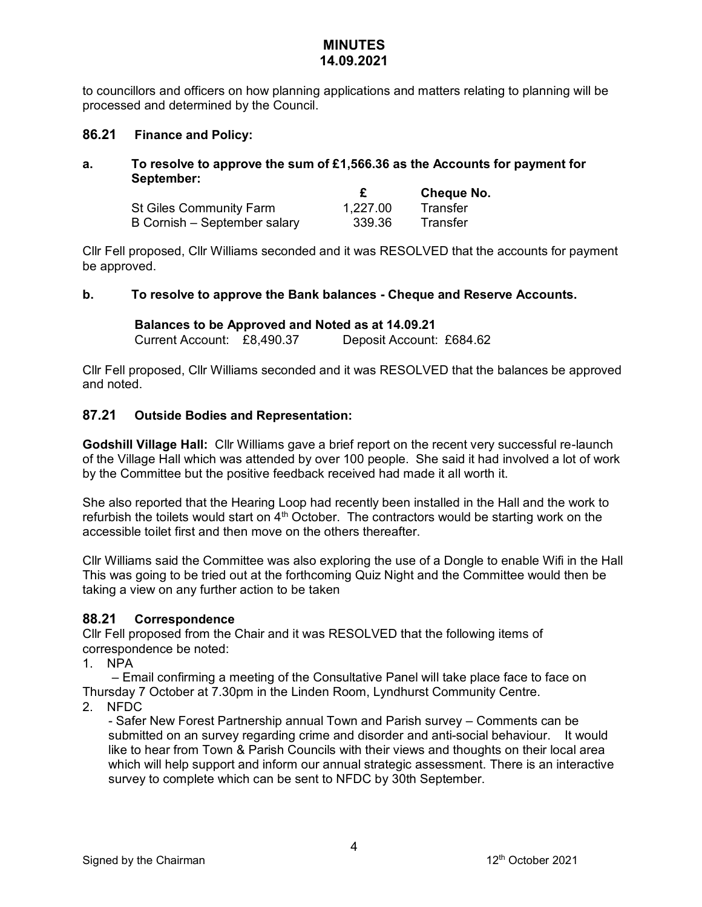to councillors and officers on how planning applications and matters relating to planning will be processed and determined by the Council.

### **86.21 Finance and Policy:**

### **a. To resolve to approve the sum of £1,566.36 as the Accounts for payment for September:**

|                              |          | Cheque No. |
|------------------------------|----------|------------|
| St Giles Community Farm      | 1,227.00 | Transfer   |
| B Cornish – September salary | 339.36   | Transfer   |

Cllr Fell proposed, Cllr Williams seconded and it was RESOLVED that the accounts for payment be approved.

### **b. To resolve to approve the Bank balances - Cheque and Reserve Accounts.**

## **Balances to be Approved and Noted as at 14.09.21**

Current Account: £8,490.37 Deposit Account: £684.62

Cllr Fell proposed, Cllr Williams seconded and it was RESOLVED that the balances be approved and noted.

### **87.21 Outside Bodies and Representation:**

**Godshill Village Hall:** Cllr Williams gave a brief report on the recent very successful re-launch of the Village Hall which was attended by over 100 people. She said it had involved a lot of work by the Committee but the positive feedback received had made it all worth it.

She also reported that the Hearing Loop had recently been installed in the Hall and the work to refurbish the toilets would start on  $4<sup>th</sup>$  October. The contractors would be starting work on the accessible toilet first and then move on the others thereafter.

Cllr Williams said the Committee was also exploring the use of a Dongle to enable Wifi in the Hall This was going to be tried out at the forthcoming Quiz Night and the Committee would then be taking a view on any further action to be taken

### **88.21 Correspondence**

Cllr Fell proposed from the Chair and it was RESOLVED that the following items of correspondence be noted:

1. NPA

– Email confirming a meeting of the Consultative Panel will take place face to face on Thursday 7 October at 7.30pm in the Linden Room, Lyndhurst Community Centre.

2. NFDC

- Safer New Forest Partnership annual Town and Parish survey – Comments can be submitted on an survey regarding crime and disorder and anti-social behaviour. It would like to hear from Town & Parish Councils with their views and thoughts on their local area which will help support and inform our annual strategic assessment. There is an interactive survey to complete which can be sent to NFDC by 30th September.